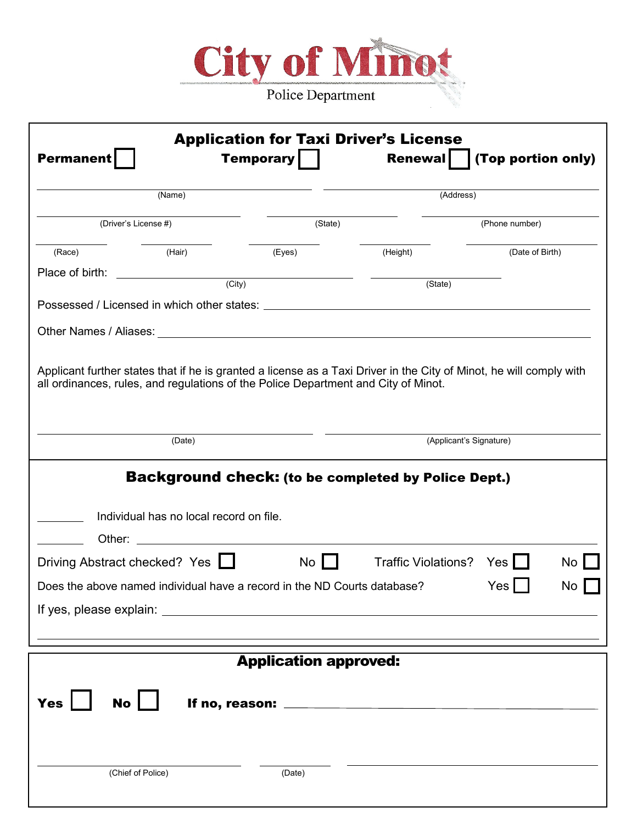

| <b>Permanent</b>     |                                                                                                                                                                                                                                | <b>Temporary</b>                                                    | <b>Renewal</b>             | (Top portion only)                                                                                                  |  |
|----------------------|--------------------------------------------------------------------------------------------------------------------------------------------------------------------------------------------------------------------------------|---------------------------------------------------------------------|----------------------------|---------------------------------------------------------------------------------------------------------------------|--|
| (Name)               |                                                                                                                                                                                                                                |                                                                     | (Address)                  |                                                                                                                     |  |
| (Driver's License #) |                                                                                                                                                                                                                                | (State)                                                             |                            | (Phone number)                                                                                                      |  |
| (Race)               | (Hair)                                                                                                                                                                                                                         | (Eyes)                                                              | (Height)                   | (Date of Birth)                                                                                                     |  |
| Place of birth:      | $\overline{(\text{City})}$                                                                                                                                                                                                     |                                                                     |                            |                                                                                                                     |  |
|                      |                                                                                                                                                                                                                                |                                                                     | $(\text{State})$           |                                                                                                                     |  |
|                      | Possessed / Licensed in which other states: example and a state of the state of the state of the state of the state of the state of the state of the state of the state of the state of the state of the state of the state of |                                                                     |                            |                                                                                                                     |  |
|                      |                                                                                                                                                                                                                                |                                                                     |                            |                                                                                                                     |  |
|                      | all ordinances, rules, and regulations of the Police Department and City of Minot.                                                                                                                                             |                                                                     |                            | Applicant further states that if he is granted a license as a Taxi Driver in the City of Minot, he will comply with |  |
|                      | (Date)                                                                                                                                                                                                                         |                                                                     |                            | (Applicant's Signature)                                                                                             |  |
|                      |                                                                                                                                                                                                                                |                                                                     |                            |                                                                                                                     |  |
|                      | <b>Background check: (to be completed by Police Dept.)</b>                                                                                                                                                                     |                                                                     |                            |                                                                                                                     |  |
|                      | Individual has no local record on file.                                                                                                                                                                                        |                                                                     |                            |                                                                                                                     |  |
| Other:               |                                                                                                                                                                                                                                | <u> 1980 - Andrea Station Barbara, amerikan personal (h. 1980).</u> |                            |                                                                                                                     |  |
|                      | Driving Abstract checked? Yes I                                                                                                                                                                                                | $\overline{N}$                                                      | <b>Traffic Violations?</b> | Yes<br>No                                                                                                           |  |
|                      | Does the above named individual have a record in the ND Courts database?                                                                                                                                                       |                                                                     |                            | <b>Yes</b><br>No                                                                                                    |  |

| <b>Application approved:</b> |                   |                |  |  |  |
|------------------------------|-------------------|----------------|--|--|--|
| Yes $\Box$                   | $No$ $\Box$       | If no, reason: |  |  |  |
|                              | (Chief of Police) | (Date)         |  |  |  |